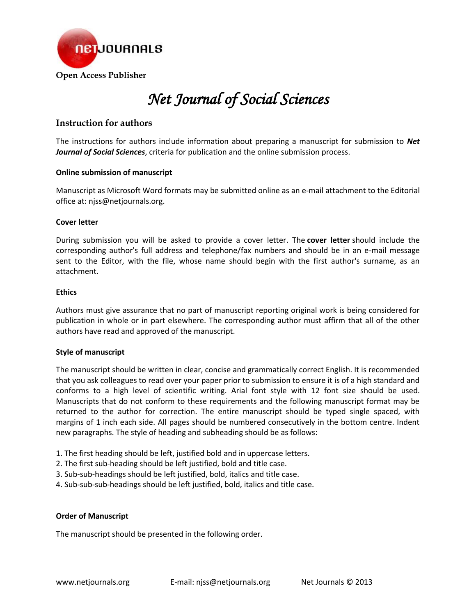

# *Net Journal of Social Sciences*

# **Instruction for authors**

The instructions for authors include information about preparing a manuscript for submission to *Net Journal of Social Sciences*, criteria for publication and the online submission process.

#### **Online submission of manuscript**

Manuscript as Microsoft Word formats may be submitted online as an e-mail attachment to the Editorial office at: njss@netjournals.org.

#### **Cover letter**

During submission you will be asked to provide a cover letter. The **cover letter** should include the corresponding author's full address and telephone/fax numbers and should be in an e-mail message sent to the Editor, with the file, whose name should begin with the first author's surname, as an attachment.

#### **Ethics**

Authors must give assurance that no part of manuscript reporting original work is being considered for publication in whole or in part elsewhere. The corresponding author must affirm that all of the other authors have read and approved of the manuscript.

# **Style of manuscript**

The manuscript should be written in clear, concise and grammatically correct English. It is recommended that you ask colleagues to read over your paper prior to submission to ensure it is of a high standard and conforms to a high level of scientific writing. Arial font style with 12 font size should be used. Manuscripts that do not conform to these requirements and the following manuscript format may be returned to the author for correction. The entire manuscript should be typed single spaced, with margins of 1 inch each side. All pages should be numbered consecutively in the bottom centre. Indent new paragraphs. The style of heading and subheading should be as follows:

- 1. The first heading should be left, justified bold and in uppercase letters.
- 2. The first sub-heading should be left justified, bold and title case.
- 3. Sub-sub-headings should be left justified, bold, italics and title case.
- 4. Sub-sub-sub-headings should be left justified, bold, italics and title case.

#### **Order of Manuscript**

The manuscript should be presented in the following order.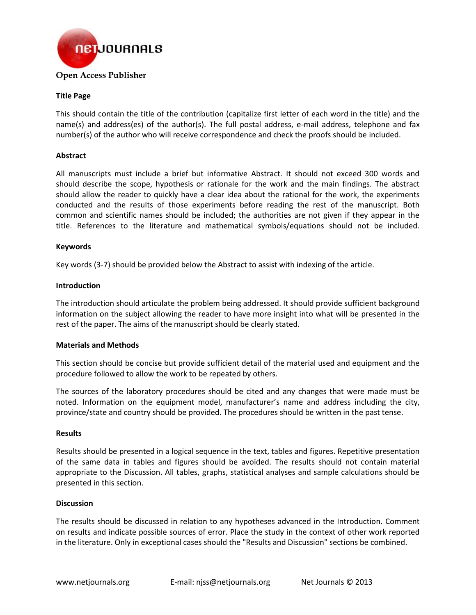

#### **Title Page**

This should contain the title of the contribution (capitalize first letter of each word in the title) and the name(s) and address(es) of the author(s). The full postal address, e-mail address, telephone and fax number(s) of the author who will receive correspondence and check the proofs should be included.

#### **Abstract**

All manuscripts must include a brief but informative Abstract. It should not exceed 300 words and should describe the scope, hypothesis or rationale for the work and the main findings. The abstract should allow the reader to quickly have a clear idea about the rational for the work, the experiments conducted and the results of those experiments before reading the rest of the manuscript. Both common and scientific names should be included; the authorities are not given if they appear in the title. References to the literature and mathematical symbols/equations should not be included.

#### **Keywords**

Key words (3-7) should be provided below the Abstract to assist with indexing of the article.

#### **Introduction**

The introduction should articulate the problem being addressed. It should provide sufficient background information on the subject allowing the reader to have more insight into what will be presented in the rest of the paper. The aims of the manuscript should be clearly stated.

#### **Materials and Methods**

This section should be concise but provide sufficient detail of the material used and equipment and the procedure followed to allow the work to be repeated by others.

The sources of the laboratory procedures should be cited and any changes that were made must be noted. Information on the equipment model, manufacturer's name and address including the city, province/state and country should be provided. The procedures should be written in the past tense.

#### **Results**

Results should be presented in a logical sequence in the text, tables and figures. Repetitive presentation of the same data in tables and figures should be avoided. The results should not contain material appropriate to the Discussion. All tables, graphs, statistical analyses and sample calculations should be presented in this section.

#### **Discussion**

The results should be discussed in relation to any hypotheses advanced in the Introduction. Comment on results and indicate possible sources of error. Place the study in the context of other work reported in the literature. Only in exceptional cases should the "Results and Discussion" sections be combined.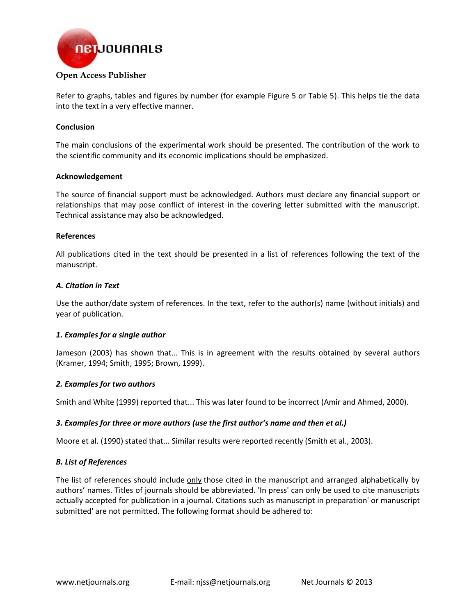

# Refer to graphs, tables and figures by number (for example Figure 5 or Table 5). This helps tie the data into the text in a very effective manner.

# **Conclusion**

The main conclusions of the experimental work should be presented. The contribution of the work to the scientific community and its economic implications should be emphasized.

# **Acknowledgement**

The source of financial support must be acknowledged. Authors must declare any financial support or relationships that may pose conflict of interest in the covering letter submitted with the manuscript. Technical assistance may also be acknowledged.

# **References**

All publications cited in the text should be presented in a list of references following the text of the manuscript.

# *A. Citation in Text*

Use the author/date system of references. In the text, refer to the author(s) name (without initials) and year of publication.

# *1. Examples for a single author*

Jameson (2003) has shown that… This is in agreement with the results obtained by several authors (Kramer, 1994; Smith, 1995; Brown, 1999).

# *2. Examples for two authors*

Smith and White (1999) reported that... This was later found to be incorrect (Amir and Ahmed, 2000).

# *3. Examples for three or more authors (use the first author's name and then et al.)*

Moore et al. (1990) stated that... Similar results were reported recently (Smith et al., 2003).

# *B. List of References*

The list of references should include only those cited in the manuscript and arranged alphabetically by authors' names. Titles of journals should be abbreviated. 'In press' can only be used to cite manuscripts actually accepted for publication in a journal. Citations such as manuscript in preparation' or manuscript submitted' are not permitted. The following format should be adhered to: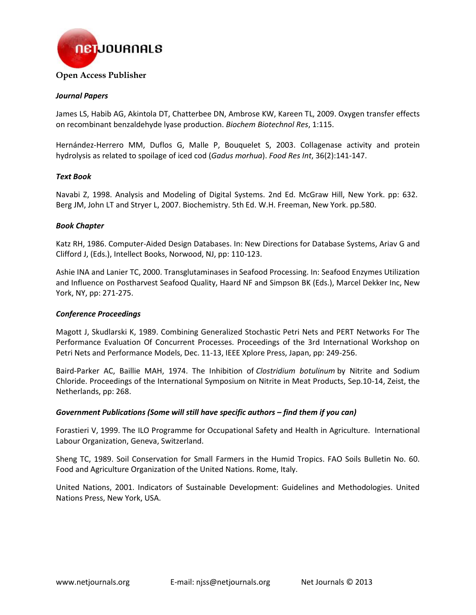

#### *Journal Papers*

James LS, Habib AG, Akintola DT, Chatterbee DN, Ambrose KW, Kareen TL, 2009. Oxygen transfer effects on recombinant benzaldehyde lyase production. *Biochem Biotechnol Res*, 1:115.

Hernández-Herrero MM, Duflos G, Malle P, Bouquelet S, 2003. Collagenase activity and protein hydrolysis as related to spoilage of iced cod (*Gadus morhua*). *Food Res Int*, 36(2):141-147.

#### *Text Book*

Navabi Z, 1998. Analysis and Modeling of Digital Systems. 2nd Ed. McGraw Hill, New York. pp: 632. Berg JM, John LT and Stryer L, 2007. Biochemistry. 5th Ed. W.H. Freeman, New York. pp.580.

#### *Book Chapter*

Katz RH, 1986. Computer-Aided Design Databases. In: New Directions for Database Systems, Ariav G and Clifford J, (Eds.), Intellect Books, Norwood, NJ, pp: 110-123.

Ashie INA and Lanier TC, 2000. Transglutaminases in Seafood Processing. In: Seafood Enzymes Utilization and Influence on Postharvest Seafood Quality, Haard NF and Simpson BK (Eds.), Marcel Dekker Inc, New York, NY, pp: 271-275.

# *Conference Proceedings*

Magott J, Skudlarski K, 1989. Combining Generalized Stochastic Petri Nets and PERT Networks For The Performance Evaluation Of Concurrent Processes. Proceedings of the 3rd International Workshop on Petri Nets and Performance Models, Dec. 11-13, IEEE Xplore Press, Japan, pp: 249-256.

Baird-Parker AC, Baillie MAH, 1974. The Inhibition of *Clostridium botulinum* by Nitrite and Sodium Chloride. Proceedings of the International Symposium on Nitrite in Meat Products, Sep.10-14, Zeist, the Netherlands, pp: 268.

#### *Government Publications (Some will still have specific authors – find them if you can)*

Forastieri V, 1999. The ILO Programme for Occupational Safety and Health in Agriculture. International Labour Organization, Geneva, Switzerland.

Sheng TC, 1989. Soil Conservation for Small Farmers in the Humid Tropics. FAO Soils Bulletin No. 60. Food and Agriculture Organization of the United Nations. Rome, Italy.

United Nations, 2001. Indicators of Sustainable Development: Guidelines and Methodologies. United Nations Press, New York, USA.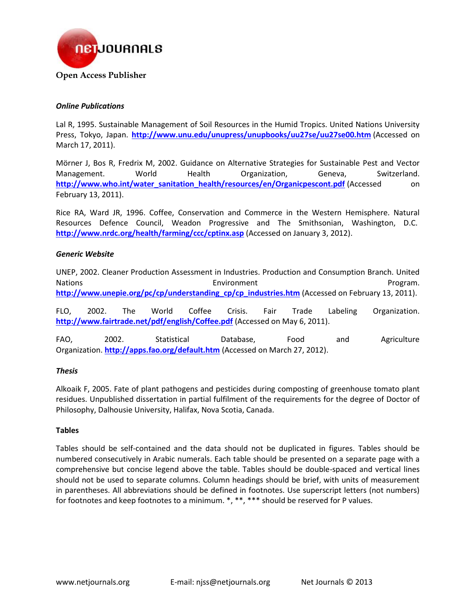

# *Online Publications*

Lal R, 1995. Sustainable Management of Soil Resources in the Humid Tropics. United Nations University Press, Tokyo, Japan. **http://www.unu.edu/unupress/unupbooks/uu27se/uu27se00.htm** (Accessed on March 17, 2011).

Mörner J, Bos R, Fredrix M, 2002. Guidance on Alternative Strategies for Sustainable Pest and Vector Management. World Health Organization, Geneva, Switzerland. **http://www.who.int/water\_sanitation\_health/resources/en/Organicpescont.pdf** (Accessed on February 13, 2011).

Rice RA, Ward JR, 1996. Coffee, Conservation and Commerce in the Western Hemisphere. Natural Resources Defence Council, Weadon Progressive and The Smithsonian, Washington, D.C. **http://www.nrdc.org/health/farming/ccc/cptinx.asp** (Accessed on January 3, 2012).

# *Generic Website*

UNEP, 2002. Cleaner Production Assessment in Industries. Production and Consumption Branch. United Nations **Environment** Program. http://www.unepie.org/pc/cp/understanding\_cp/cp\_industries.htm (Accessed on February 13, 2011).

FLO, 2002. The World Coffee Crisis. Fair Trade Labeling Organization. **http://www.fairtrade.net/pdf/english/Coffee.pdf** (Accessed on May 6, 2011).

FAO, 2002. Statistical Database, Food and Agriculture Organization. **http://apps.fao.org/default.htm** (Accessed on March 27, 2012).

# *Thesis*

Alkoaik F, 2005. Fate of plant pathogens and pesticides during composting of greenhouse tomato plant residues. Unpublished dissertation in partial fulfilment of the requirements for the degree of Doctor of Philosophy, Dalhousie University, Halifax, Nova Scotia, Canada.

# **Tables**

Tables should be self-contained and the data should not be duplicated in figures. Tables should be numbered consecutively in Arabic numerals. Each table should be presented on a separate page with a comprehensive but concise legend above the table. Tables should be double-spaced and vertical lines should not be used to separate columns. Column headings should be brief, with units of measurement in parentheses. All abbreviations should be defined in footnotes. Use superscript letters (not numbers) for footnotes and keep footnotes to a minimum. \*, \*\*, \*\*\* should be reserved for P values.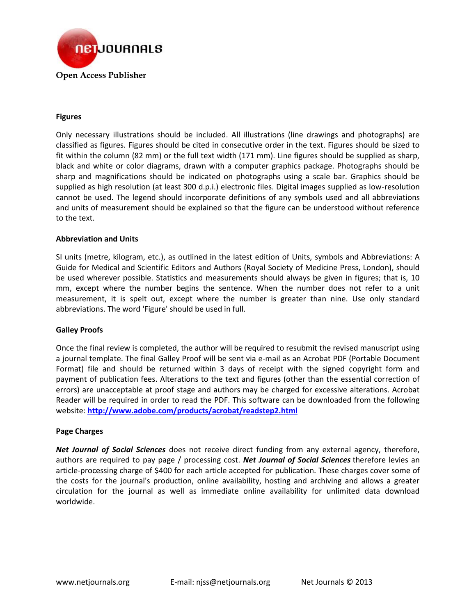

# **Figures**

Only necessary illustrations should be included. All illustrations (line drawings and photographs) are classified as figures. Figures should be cited in consecutive order in the text. Figures should be sized to fit within the column (82 mm) or the full text width (171 mm). Line figures should be supplied as sharp, black and white or color diagrams, drawn with a computer graphics package. Photographs should be sharp and magnifications should be indicated on photographs using a scale bar. Graphics should be supplied as high resolution (at least 300 d.p.i.) electronic files. Digital images supplied as low-resolution cannot be used. The legend should incorporate definitions of any symbols used and all abbreviations and units of measurement should be explained so that the figure can be understood without reference to the text.

# **Abbreviation and Units**

SI units (metre, kilogram, etc.), as outlined in the latest edition of Units, symbols and Abbreviations: A Guide for Medical and Scientific Editors and Authors (Royal Society of Medicine Press, London), should be used wherever possible. Statistics and measurements should always be given in figures; that is, 10 mm, except where the number begins the sentence. When the number does not refer to a unit measurement, it is spelt out, except where the number is greater than nine. Use only standard abbreviations. The word 'Figure' should be used in full.

# **Galley Proofs**

Once the final review is completed, the author will be required to resubmit the revised manuscript using a journal template. The final Galley Proof will be sent via e-mail as an Acrobat PDF (Portable Document Format) file and should be returned within 3 days of receipt with the signed copyright form and payment of publication fees. Alterations to the text and figures (other than the essential correction of errors) are unacceptable at proof stage and authors may be charged for excessive alterations. Acrobat Reader will be required in order to read the PDF. This software can be downloaded from the following website: **http://www.adobe.com/products/acrobat/readstep2.html**

# **Page Charges**

*Net Journal of Social Sciences* does not receive direct funding from any external agency, therefore, authors are required to pay page / processing cost. *Net Journal of Social Sciences* therefore levies an article-processing charge of \$400 for each article accepted for publication. These charges cover some of the costs for the journal's production, online availability, hosting and archiving and allows a greater circulation for the journal as well as immediate online availability for unlimited data download worldwide.